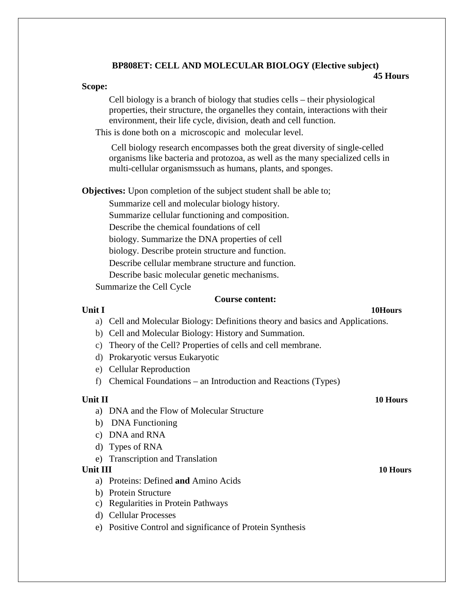## **BP808ET: CELL AND MOLECULAR BIOLOGY (Elective subject) 45 Hours**

### **Scope:**

Cell biology is a branch of [biology t](http://en.wikipedia.org/wiki/Biology)hat studies [cells –](http://en.wikipedia.org/wiki/Cell_(biology)) their [physiological](http://en.wikipedia.org/wiki/Physiology) properties, their structure, the [organelles t](http://en.wikipedia.org/wiki/Organelles)hey contain, interactions with their environment, their [life cycle, division,](http://en.wikipedia.org/wiki/Cell_cycle) [death a](http://en.wikipedia.org/wiki/Apoptosis)nd cell function.

This is done both on a [microscopic a](http://en.wikipedia.org/wiki/Microscope)nd [molecular l](http://en.wikipedia.org/wiki/Molecule)evel.

[Cell b](http://en.wikipedia.org/wiki/Cell_(biology))iology research encompasses both the great diversity of single-celled organisms like [bacteria a](http://en.wikipedia.org/wiki/Bacteria)nd [protozoa, a](http://en.wikipedia.org/wiki/Protozoa)s well as the many specialized cells in multi-cellular [organismssuch a](http://en.wikipedia.org/wiki/Organisms)s [humans, plants, a](http://en.wikipedia.org/wiki/Human)nd [sponges.](http://en.wikipedia.org/wiki/Sponge)

**Objectives:** Upon completion of the subject student shall be able to;

Summarize cell and molecular biology history. Summarize cellular functioning and composition. Describe the chemical foundations of cell biology. Summarize the DNA properties of cell biology. Describe protein structure and function. Describe cellular membrane structure and function. Describe basic molecular genetic mechanisms.

Summarize the Cell Cycle

## **Course content:**

## **Unit I 10Hours**

- a) Cell and Molecular Biology: Definitions theory and basics and Applications.
- b) Cell and Molecular Biology: History and Summation.
- c) Theory of the Cell? Properties of cells and cell membrane.
- d) Prokaryotic versus Eukaryotic
- e) Cellular Reproduction
- f) Chemical Foundations an Introduction and Reactions (Types)

# **Unit II 10 Hours**

- a) DNA and the Flow of Molecular Structure
- b) DNA Functioning
- c) DNA and RNA
- d) Types of RNA
- e) Transcription and Translation

## **Unit III 10 Hours**

- a) Proteins: Defined **and** Amino Acids
- b) Protein Structure
- c) Regularities in Protein Pathways
- d) Cellular Processes
- e) Positive Control and significance of Protein Synthesis